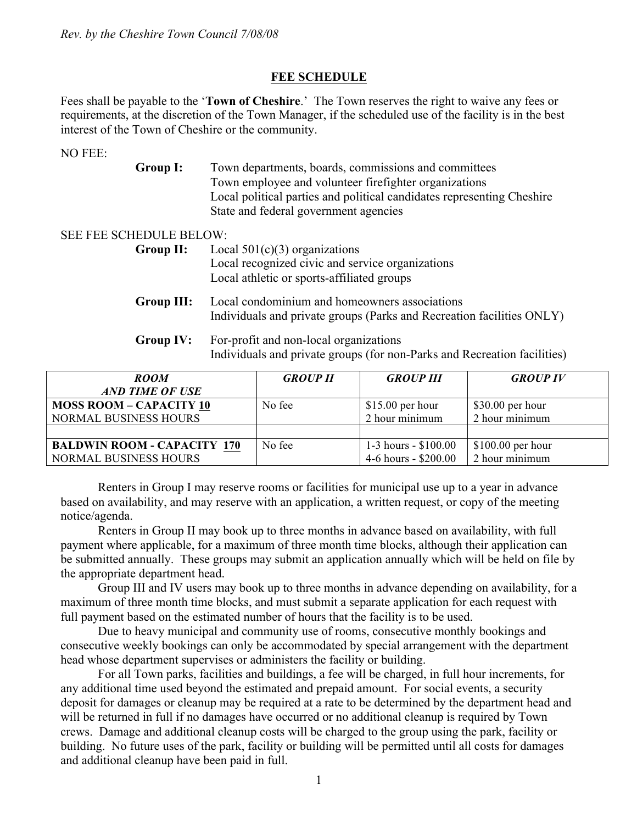## **FEE SCHEDULE**

Fees shall be payable to the '**Town of Cheshire**.' The Town reserves the right to waive any fees or requirements, at the discretion of the Town Manager, if the scheduled use of the facility is in the best interest of the Town of Cheshire or the community.

NO FEE:

**Group I:** Town departments, boards, commissions and committees Town employee and volunteer firefighter organizations Local political parties and political candidates representing Cheshire State and federal government agencies

#### SEE FEE SCHEDULE BELOW:

- **Group II:** Local 501(c)(3) organizations Local recognized civic and service organizations Local athletic or sports-affiliated groups
- **Group III:** Local condominium and homeowners associations Individuals and private groups (Parks and Recreation facilities ONLY)
- **Group IV:** For-profit and non-local organizations Individuals and private groups (for non-Parks and Recreation facilities)

| <b>ROOM</b>                        | <b>GROUP II</b> | <b>GROUP III</b>      | <b>GROUP IV</b>    |
|------------------------------------|-----------------|-----------------------|--------------------|
| <b>AND TIME OF USE</b>             |                 |                       |                    |
| <b>MOSS ROOM - CAPACITY 10</b>     | No fee          | $$15.00$ per hour     | $$30.00$ per hour  |
| <b>NORMAL BUSINESS HOURS</b>       |                 | 2 hour minimum        | 2 hour minimum     |
|                                    |                 |                       |                    |
| <b>BALDWIN ROOM - CAPACITY 170</b> | No fee          | 1-3 hours - $$100.00$ | $$100.00$ per hour |
| <b>NORMAL BUSINESS HOURS</b>       |                 | 4-6 hours - \$200.00  | 2 hour minimum     |

Renters in Group I may reserve rooms or facilities for municipal use up to a year in advance based on availability, and may reserve with an application, a written request, or copy of the meeting notice/agenda.

Renters in Group II may book up to three months in advance based on availability, with full payment where applicable, for a maximum of three month time blocks, although their application can be submitted annually. These groups may submit an application annually which will be held on file by the appropriate department head.

Group III and IV users may book up to three months in advance depending on availability, for a maximum of three month time blocks, and must submit a separate application for each request with full payment based on the estimated number of hours that the facility is to be used.

Due to heavy municipal and community use of rooms, consecutive monthly bookings and consecutive weekly bookings can only be accommodated by special arrangement with the department head whose department supervises or administers the facility or building.

For all Town parks, facilities and buildings, a fee will be charged, in full hour increments, for any additional time used beyond the estimated and prepaid amount. For social events, a security deposit for damages or cleanup may be required at a rate to be determined by the department head and will be returned in full if no damages have occurred or no additional cleanup is required by Town crews. Damage and additional cleanup costs will be charged to the group using the park, facility or building. No future uses of the park, facility or building will be permitted until all costs for damages and additional cleanup have been paid in full.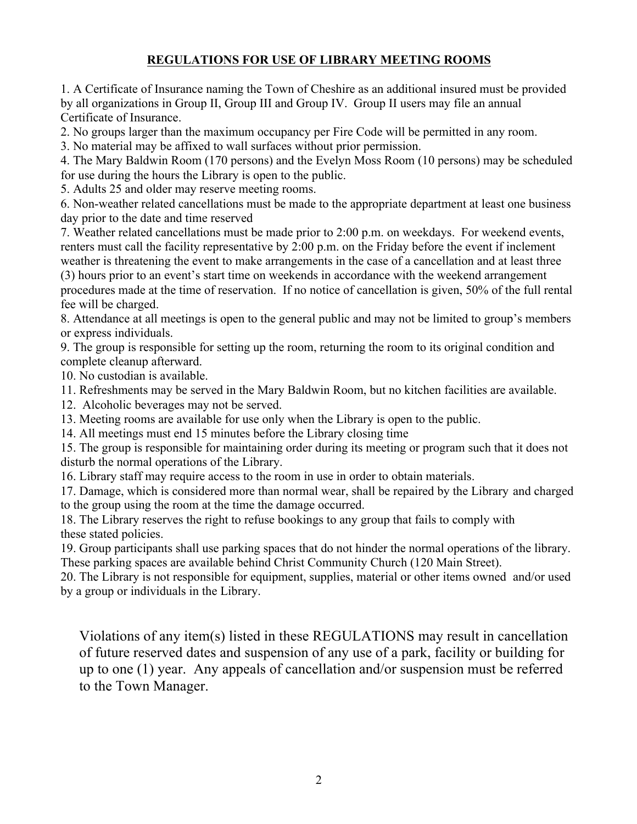# **REGULATIONS FOR USE OF LIBRARY MEETING ROOMS**

1. A Certificate of Insurance naming the Town of Cheshire as an additional insured must be provided by all organizations in Group II, Group III and Group IV. Group II users may file an annual Certificate of Insurance.

2. No groups larger than the maximum occupancy per Fire Code will be permitted in any room.

3. No material may be affixed to wall surfaces without prior permission.

4. The Mary Baldwin Room (170 persons) and the Evelyn Moss Room (10 persons) may be scheduled for use during the hours the Library is open to the public.

5. Adults 25 and older may reserve meeting rooms.

6. Non-weather related cancellations must be made to the appropriate department at least one business day prior to the date and time reserved

7. Weather related cancellations must be made prior to 2:00 p.m. on weekdays. For weekend events, renters must call the facility representative by 2:00 p.m. on the Friday before the event if inclement weather is threatening the event to make arrangements in the case of a cancellation and at least three

(3) hours prior to an event's start time on weekends in accordance with the weekend arrangement procedures made at the time of reservation. If no notice of cancellation is given, 50% of the full rental fee will be charged.

8. Attendance at all meetings is open to the general public and may not be limited to group's members or express individuals.

9. The group is responsible for setting up the room, returning the room to its original condition and complete cleanup afterward.

10. No custodian is available.

11. Refreshments may be served in the Mary Baldwin Room, but no kitchen facilities are available.

12. Alcoholic beverages may not be served.

13. Meeting rooms are available for use only when the Library is open to the public.

14. All meetings must end 15 minutes before the Library closing time

15. The group is responsible for maintaining order during its meeting or program such that it does not disturb the normal operations of the Library.

16. Library staff may require access to the room in use in order to obtain materials.

17. Damage, which is considered more than normal wear, shall be repaired by the Library and charged to the group using the room at the time the damage occurred.

18. The Library reserves the right to refuse bookings to any group that fails to comply with these stated policies.

19. Group participants shall use parking spaces that do not hinder the normal operations of the library. These parking spaces are available behind Christ Community Church (120 Main Street).

20. The Library is not responsible for equipment, supplies, material or other items owned and/or used by a group or individuals in the Library.

Violations of any item(s) listed in these REGULATIONS may result in cancellation of future reserved dates and suspension of any use of a park, facility or building for up to one (1) year. Any appeals of cancellation and/or suspension must be referred to the Town Manager.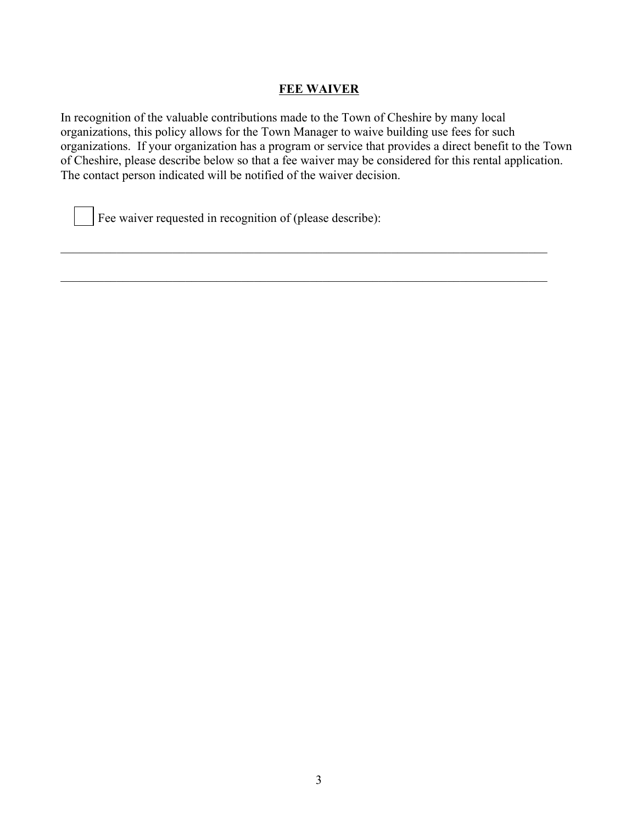### **FEE WAIVER**

In recognition of the valuable contributions made to the Town of Cheshire by many local organizations, this policy allows for the Town Manager to waive building use fees for such organizations. If your organization has a program or service that provides a direct benefit to the Town of Cheshire, please describe below so that a fee waiver may be considered for this rental application. The contact person indicated will be notified of the waiver decision.

\_\_\_\_\_\_\_\_\_\_\_\_\_\_\_\_\_\_\_\_\_\_\_\_\_\_\_\_\_\_\_\_\_\_\_\_\_\_\_\_\_\_\_\_\_\_\_\_\_\_\_\_\_\_\_\_\_\_\_\_\_\_\_\_\_\_\_\_\_\_\_\_\_\_\_\_\_\_

\_\_\_\_\_\_\_\_\_\_\_\_\_\_\_\_\_\_\_\_\_\_\_\_\_\_\_\_\_\_\_\_\_\_\_\_\_\_\_\_\_\_\_\_\_\_\_\_\_\_\_\_\_\_\_\_\_\_\_\_\_\_\_\_\_\_\_\_\_\_\_\_\_\_\_\_\_\_

Fee waiver requested in recognition of (please describe):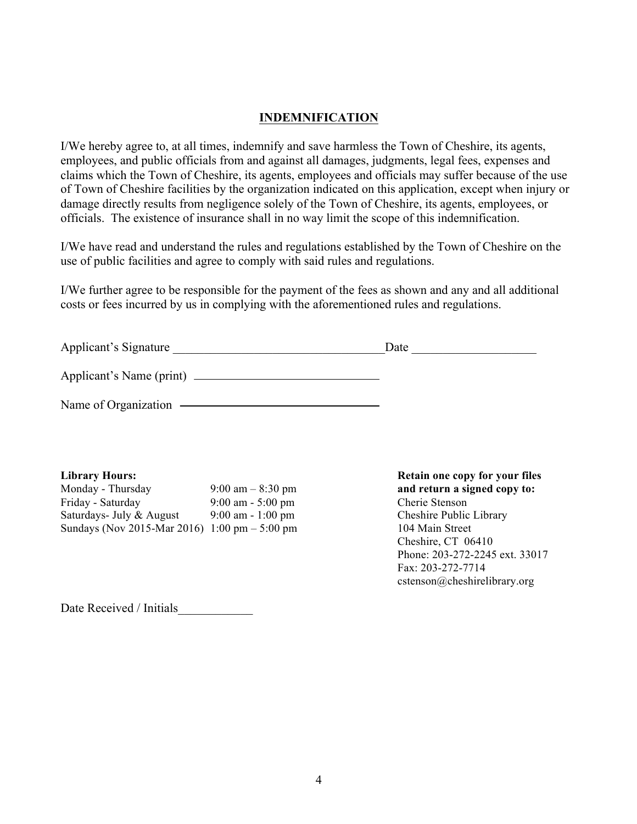### **INDEMNIFICATION**

I/We hereby agree to, at all times, indemnify and save harmless the Town of Cheshire, its agents, employees, and public officials from and against all damages, judgments, legal fees, expenses and claims which the Town of Cheshire, its agents, employees and officials may suffer because of the use of Town of Cheshire facilities by the organization indicated on this application, except when injury or damage directly results from negligence solely of the Town of Cheshire, its agents, employees, or officials. The existence of insurance shall in no way limit the scope of this indemnification.

I/We have read and understand the rules and regulations established by the Town of Cheshire on the use of public facilities and agree to comply with said rules and regulations.

I/We further agree to be responsible for the payment of the fees as shown and any and all additional costs or fees incurred by us in complying with the aforementioned rules and regulations.

| Applicant's Signature    | Date |  |  |
|--------------------------|------|--|--|
| Applicant's Name (print) |      |  |  |

Name of Organization

| Monday - Thursday                               | 9:00 am $-$ 8:30 pm  |
|-------------------------------------------------|----------------------|
| Friday - Saturday                               | $9:00$ am - 5:00 pm  |
| Saturdays- July & August                        | $9:00$ am $-1:00$ pm |
| Sundays (Nov 2015-Mar 2016) 1:00 pm $-$ 5:00 pm |                      |

**Library Hours: Retain one copy for your files** and return a signed copy to: Cherie Stenson Cheshire Public Library 104 Main Street Cheshire, CT 06410 Phone: 203-272-2245 ext. 33017 Fax: 203-272-7714 cstenson@cheshirelibrary.org

Date Received / Initials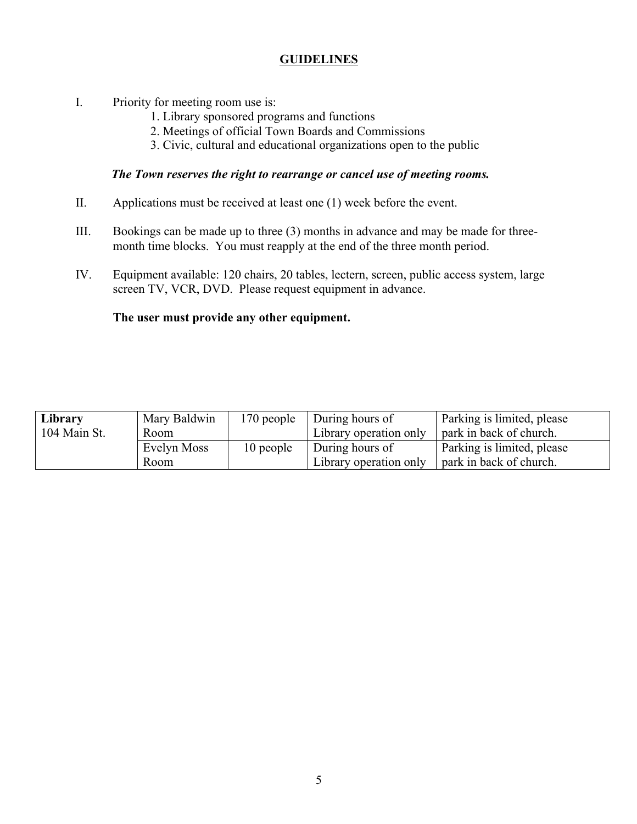## **GUIDELINES**

- I. Priority for meeting room use is:
	- 1. Library sponsored programs and functions
	- 2. Meetings of official Town Boards and Commissions
	- 3. Civic, cultural and educational organizations open to the public

#### *The Town reserves the right to rearrange or cancel use of meeting rooms.*

- II. Applications must be received at least one (1) week before the event.
- III. Bookings can be made up to three (3) months in advance and may be made for threemonth time blocks. You must reapply at the end of the three month period.
- IV. Equipment available: 120 chairs, 20 tables, lectern, screen, public access system, large screen TV, VCR, DVD. Please request equipment in advance.

#### **The user must provide any other equipment.**

| Library      | Mary Baldwin | 170 people | During hours of        | Parking is limited, please |
|--------------|--------------|------------|------------------------|----------------------------|
| 104 Main St. | Room         |            | Library operation only | park in back of church.    |
|              | Evelyn Moss  | 10 people  | During hours of        | Parking is limited, please |
|              | Room.        |            | Library operation only | park in back of church.    |